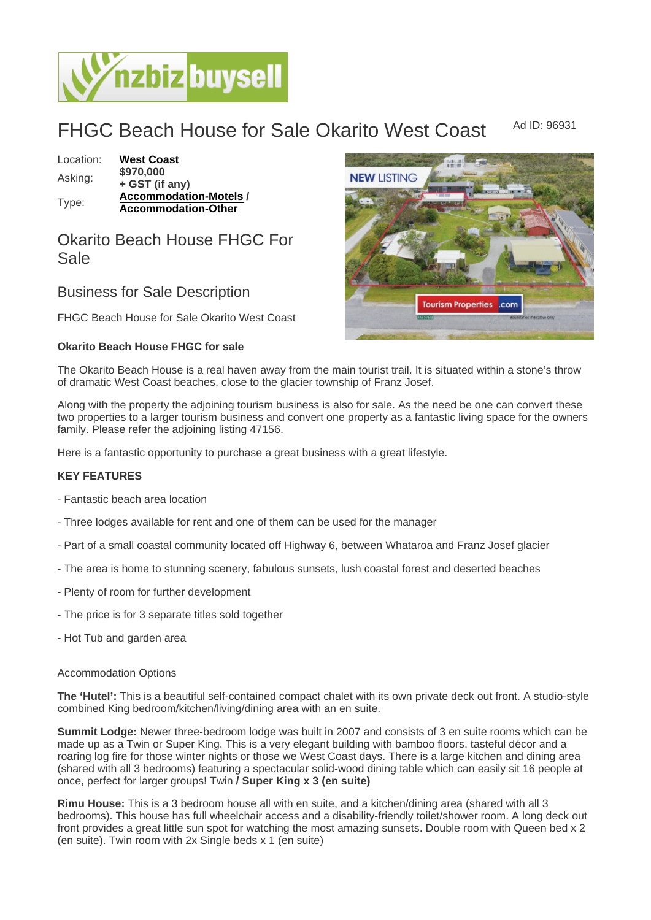# FHGC Beach House for Sale Okarito West Coast Ad ID: 96931

Location: [West Coast](https://www.nzbizbuysell.co.nz/businesses-for-sale/location/West-Coast) Asking: + GST (if any) Type: [Accommodation-Motels](https://www.nzbizbuysell.co.nz/businesses-for-sale/Motels/New-Zealand) / Accommodation-Other

## Okarito Beach House FHGC For Sale

## Business for Sale Description

FHGC Beach House for Sale Okarito West Coast

Okarito Beach House FHGC for sale

The Okarito Beach House is a real haven away from the main tourist trail. It is situated within a stone's throw of dramatic West Coast beaches, close to the glacier township of Franz Josef.

Along with the property the adjoining tourism business is also for sale. As the need be one can convert these two properties to a larger tourism business and convert one property as a fantastic living space for the owners family. Please refer the adjoining listing 47156.

Here is a fantastic opportunity to purchase a great business with a great lifestyle.

### KEY FEATURES

- Fantastic beach area location
- Three lodges available for rent and one of them can be used for the manager
- Part of a small coastal community located off Highway 6, between Whataroa and Franz Josef glacier
- The area is home to stunning scenery, fabulous sunsets, lush coastal forest and deserted beaches
- Plenty of room for further development
- The price is for 3 separate titles sold together
- Hot Tub and garden area

#### Accommodation Options

The 'Hutel': This is a beautiful self-contained compact chalet with its own private deck out front. A studio-style combined King bedroom/kitchen/living/dining area with an en suite.

Summit Lodge: Newer three-bedroom lodge was built in 2007 and consists of 3 en suite rooms which can be made up as a Twin or Super King. This is a very elegant building with bamboo floors, tasteful décor and a roaring log fire for those winter nights or those we West Coast days. There is a large kitchen and dining area (shared with all 3 bedrooms) featuring a spectacular solid-wood dining table which can easily sit 16 people at once, perfect for larger groups! Twin / Super King x 3 (en suite)

Rimu House: This is a 3 bedroom house all with en suite, and a kitchen/dining area (shared with all 3 bedrooms). This house has full wheelchair access and a disability-friendly toilet/shower room. A long deck out front provides a great little sun spot for watching the most amazing sunsets. Double room with Queen bed x 2 (en suite). Twin room with 2x Single beds x 1 (en suite)